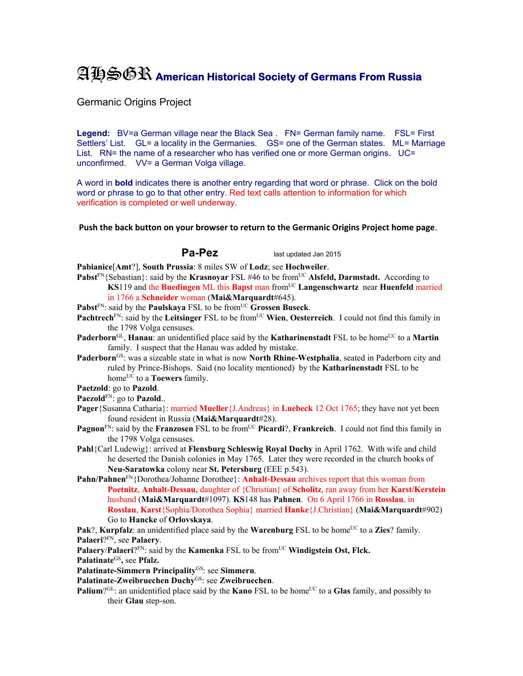## AHSGR **American Historical Society of Germans From Russia**

Germanic Origins Project

Legend: BV=a German village near the Black Sea . FN= German family name. FSL= First Settlers' List. GL= a locality in the Germanies. GS= one of the German states. ML= Marriage List. RN= the name of a researcher who has verified one or more German origins. UC= unconfirmed. VV= a German Volga village.

A word in **bold** indicates there is another entry regarding that word or phrase. Click on the bold word or phrase to go to that other entry. Red text calls attention to information for which verification is completed or well underway.

**Push the back button on your browser to return to the Germanic Origins Project home page**.

**Pa-Pez** last updated Jan 2015

**Pabianice**[**Amt**?], **South Prussia**: 8 miles SW of **Lodz**; see **Hochweiler**.

- **Pabst**FN{Sebastian}: said by the **Krasnoyar** FSL #46 to be fromUC **Alsfeld, Darmstadt.** According to **KS**119 and the **Buedingen** ML this **Bapst** man from<sup>UC</sup> Langenschwartz near **Huenfeld** married in 1766 a **Schneider** woman (**Mai&Marquardt**#645).
- Pabst<sup>FN</sup>: said by the Paulskaya FSL to be from<sup>UC</sup> Grossen Buseck.
- **Pachtrech**<sup>FN</sup>: said by the Leitsinger FSL to be from<sup>UC</sup> Wien, Oesterreich. I could not find this family in the 1798 Volga censuses.
- **Paderborn**<sup>GL</sup>, **Hanau**: an unidentified place said by the **Katharinenstadt** FSL to be home<sup>UC</sup> to a **Martin** family. I suspect that the Hanau was added by mistake.
- **Paderborn**GS: was a sizeable state in what is now **North Rhine-Westphalia**, seated in Paderborn city and ruled by Prince-Bishops. Said (no locality mentioned) by the **Katharinenstadt** FSL to be home<sup>UC</sup> to a **Toewers** family.
- **Paetzold**: go to **Pazold**.

Paezold<sup>FN</sup>: go to **Pazold**..

- **Pager**{Susanna Catharia}: married **Mueller**{J.Andreas} in **Luebeck** 12 Oct 1765; they have not yet been found resident in Russia (**Mai&Marquardt**#28).
- **Pagnon**<sup>FN</sup>: said by the **Franzosen** FSL to be from<sup>UC</sup> **Picardi**?, **Frankreich**. I could not find this family in the 1798 Volga censuses.
- **Pahl**{Carl Ludewig}: arrived at **Flensburg Schleswig Royal Duchy** in April 1762. With wife and child he deserted the Danish colonies in May 1765. Later they were recorded in the church books of **Neu-Saratowka** colony near **St. Petersburg** (EEE p.543).
- **Pahn/Pahnen**FN{Dorothea/Johanne Dorothee}: **Anhalt-Dessau** archives report that this woman from **Poetnitz**, **Anhalt-Dessau**, daughter of {Christian} of **Scholitz**, ran away from her **Karst/Kerstein**  husband (**Mai&Marquardt**#1097). **KS**148 has **Pahnen**. On 6 April 1766 in **Rosslau**, in **Rosslau**, **Karst**{Sophia/Dorothea Sophia} married **Hanke**{J.Christian} (**Mai&Marquardt**#902) Go to **Hancke** of **Orlovskaya**.

**Pak**?, **Kurpfalz**: an unidentified place said by the **Warenburg** FSL to be home<sup>UC</sup> to a **Zies**? family. **Palaeri**?FN, see **Palaery**.

**Palaery/Palaeri**?FN: said by the **Kamenka** FSL to be from<sup>UC</sup> **Windigstein Ost, Flck.** 

**Palatinate**GS**,** see **Pfalz.** 

**Palatinate-Simmern Principality**GS: see **Simmern**.

**Palatinate-Zweibruechen Duchy**GS: see **Zweibruechen**.

**Palium**?<sup>GL</sup>: an unidentified place said by the **Kano** FSL to be home<sup>UC</sup> to a **Glas** family, and possibly to their **Glau** step-son.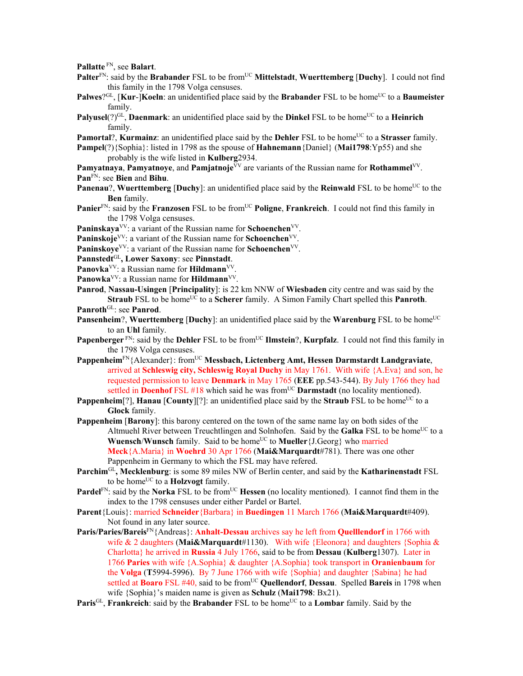**Pallatte** FN, see **Balart**.

- Palter<sup>FN</sup>: said by the Brabander FSL to be from<sup>UC</sup> Mittelstadt, Wuerttemberg [Duchy]. I could not find this family in the 1798 Volga censuses.
- **Palwes**?<sup>GL</sup>, [**Kur-**]**Koeln**: an unidentified place said by the **Brabander** FSL to be home<sup>UC</sup> to a **Baumeister** family.
- **Palyusel**(?)<sup>GL</sup>, **Daenmark**: an unidentified place said by the **Dinkel** FSL to be home<sup>UC</sup> to a **Heinrich** family.
- **Pamortal**?, **Kurmainz**: an unidentified place said by the **Dehler** FSL to be home<sup>UC</sup> to a **Strasser** family.
- **Pampel**(?){Sophia}: listed in 1798 as the spouse of **Hahnemann**{Daniel} (**Mai1798**:Yp55) and she probably is the wife listed in **Kulberg**2934.
- **Pamyatnaya**, **Pamyatnoye**, and **Pamjatnoje**<sup> $\bar{V}V$ </sup> are variants of the Russian name for **Rothammel**<sup>VV</sup>. **Pan**FN: see **Bien** and **Bihu**.
- **Panenau?, Wuerttemberg [Duchy]:** an unidentified place said by the **Reinwald** FSL to be home<sup>UC</sup> to the **Ben** family.
- **Panier**<sup>FN</sup>: said by the **Franzosen** FSL to be from<sup>UC</sup> **Poligne**, **Frankreich**. I could not find this family in the 1798 Volga censuses.
- **Paninskaya**<sup>VV</sup>: a variant of the Russian name for **Schoenchen**<sup>VV</sup>.
- Paninskoje<sup>VV</sup>: a variant of the Russian name for **Schoenchen**<sup>VV</sup>.
- Paninskoye<sup>VV</sup>: a variant of the Russian name for **Schoenchen**<sup>VV</sup>.
- **Pannstedt**GL**, Lower Saxony**: see **Pinnstadt**.
- **Panovka**VV: a Russian name for **Hildmann**VV.
- Panowka<sup>VV</sup>: a Russian name for **Hildmann**<sup>VV</sup>.
- **Panrod**, **Nassau-Usingen** [**Principality**]: is 22 km NNW of **Wiesbaden** city centre and was said by the **Straub** FSL to be home<sup>UC</sup> to a **Scherer** family. A Simon Family Chart spelled this **Panroth**.
- **Panroth**GL: see **Panrod**.
- **Pansenheim**?, **Wuerttemberg** [Duchy]: an unidentified place said by the **Warenburg** FSL to be home<sup>UC</sup> to an **Uhl** family.
- **Papenberger** FN: said by the **Dehler** FSL to be from<sup>UC</sup> **Ilmstein**?, **Kurpfalz**. I could not find this family in the 1798 Volga censuses.
- Pappenheim<sup>FN</sup>{Alexander}: from<sup>UC</sup> Messbach, Lictenberg Amt, Hessen Darmstardt Landgraviate, arrived at **Schleswig city, Schleswig Royal Duchy** in May 1761. With wife {A.Eva} and son, he requested permission to leave **Denmark** in May 1765 (**EEE** pp.543-544). By July 1766 they had settled in **Doenhof** FSL #18 which said he was from<sup>UC</sup> **Darmstadt** (no locality mentioned).
- **Pappenheim**[?], **Hanau** [**County**][?]: an unidentified place said by the **Straub** FSL to be home<sup>UC</sup> to a **Glock** family.
- **Pappenheim** [**Barony**]: this barony centered on the town of the same name lay on both sides of the Altmuehl River between Treuchtlingen and Solnhofen. Said by the **Galka** FSL to be home<sup>UC</sup> to a **Wuensch/Wunsch** family. Said to be home<sup>UC</sup> to **Mueller**{J.Georg} who married **Meck**{A.Maria} in **Woehrd** 30 Apr 1766 (**Mai&Marquardt**#781). There was one other Pappenheim in Germany to which the FSL may have refered.
- **Parchim**GL**, Mecklenburg**: is some 89 miles NW of Berlin center, and said by the **Katharinenstadt** FSL to be home<sup>UC</sup> to a **Holzvogt** family.
- **Pardel**<sup>FN</sup>: said by the **Norka** FSL to be from<sup>UC</sup> **Hessen** (no locality mentioned). I cannot find them in the index to the 1798 censuses under either Pardel or Bartel.
- **Parent**{Louis}: married **Schneider**{Barbara} in **Buedingen** 11 March 1766 (**Mai&Marquardt**#409). Not found in any later source.
- **Paris/Paries/Bareis**FN{Andreas}: **Anhalt-Dessau** archives say he left from **Quelllendorf** in 1766 with wife & 2 daughters (**Mai&Marquardt**#1130). With wife {Eleonora} and daughters {Sophia & Charlotta} he arrived in **Russia** 4 July 1766, said to be from **Dessau** (**Kulberg**1307). Later in 1766 **Paries** with wife {A.Sophia} & daughter {A.Sophia} took transport in **Oranienbaum** for the **Volga** (**T**5994-5996). By 7 June 1766 with wife {Sophia} and daughter {Sabina} he had settled at **Boaro** FSL #40, said to be from<sup>UC</sup> Quellendorf, Dessau. Spelled Bareis in 1798 when wife {Sophia}'s maiden name is given as **Schulz** (**Mai1798**: Bx21).
- **Paris**<sup>GL</sup>, **Frankreich**: said by the **Brabander** FSL to be home<sup>UC</sup> to a **Lombar** family. Said by the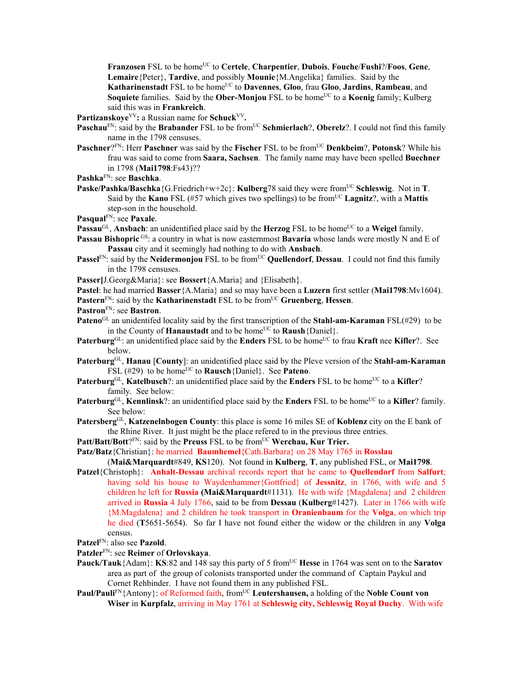**Franzosen** FSL to be homeUC to **Certele**, **Charpentier**, **Dubois**, **Fouche**/**Fushi**?/**Foos**, **Gene**, **Lemaire**{Peter}, **Tardive**, and possibly **Mounie**{M.Angelika} families. Said by the Katharinenstadt FSL to be home<sup>UC</sup> to Davennes, Gloo, frau Gloo, Jardins, Rambeau, and **Soquiete** families. Said by the **Ober-Monjou** FSL to be home<sup>UC</sup> to a **Koenig** family; Kulberg said this was in **Frankreich**.

Partizanskoye<sup>VV</sup>: a Russian name for Schuck<sup>VV</sup>.

- **Paschau**<sup>FN</sup>: said by the **Brabander** FSL to be from<sup>UC</sup> **Schmierlach**?, **Oberelz**?. I could not find this family name in the 1798 censuses.
- **Paschner**?FN: Herr **Paschner** was said by the **Fischer** FSL to be from<sup>UC</sup> **Denkbeim**?, **Potonsk**? While his frau was said to come from **Saara, Sachsen**. The family name may have been spelled **Buechner** in 1798 (**Mai1798**:Fs43)??
- **Pashka**FN: see **Baschka**.
- **Paske/Pashka/Baschka**{G.Friedrich+w+2c}: **Kulberg**78 said they were from<sup>UC</sup> Schleswig. Not in **T**. Said by the **Kano** FSL (#57 which gives two spellings) to be fromUC **Lagnitz**?, with a **Mattis** step-son in the household.

**Pasqual**FN: see **Paxale**.

- **Passau<sup>GL</sup>, Ansbach**: an unidentified place said by the **Herzog** FSL to be home<sup>UC</sup> to a **Weigel** family.
- **Passau Bishopric** <sup>GS</sup>: a country in what is now easternmost **Bavaria** whose lands were mostly N and E of **Passau** city and it seemingly had nothing to do with **Ansbach**.
- **Passel**FN: said by the **Neidermoniou** FSL to be from<sup>UC</sup> **Quellendorf**, **Dessau**. I could not find this family in the 1798 censuses.
- **Passer[**J.Georg&Maria}: see **Bossert**{A.Maria} and {Elisabeth}.

**Pastel**: he had married **Basser**{A.Maria} and so may have been a **Luzern** first settler (**Mai1798**:Mv1604).

**Pastern**FN: said by the **Katharinenstadt** FSL to be fromUC **Gruenberg**, **Hessen**.

- **Pastron**FN: see **Bastron**.
- **Pateno**GL an unidentifed locality said by the first transcription of the **Stahl-am-Karaman** FSL(#29) to be in the County of **Hanaustadt** and to be home<sup>UC</sup> to **Raush**{Daniel}.
- **Paterburg**<sup>GL</sup>: an unidentified place said by the **Enders** FSL to be home<sup>UC</sup> to frau **Kraft** nee **Kifler**?. See below.
- **Paterburg**GL, **Hanau** [**County**]: an unidentified place said by the Pleve version of the **Stahl-am-Karaman** FSL (#29) to be home<sup>UC</sup> to **Rausch** {Daniel}. See **Pateno**.
- **Paterburg**<sup>GL</sup>, **Katelbusch**?: an unidentified place said by the **Enders** FSL to be home<sup>UC</sup> to a **Kifler**? family. See below:
- **Paterburg**<sup>GL</sup>, **Kennlinsk**?: an unidentified place said by the **Enders** FSL to be home<sup>UC</sup> to a **Kifler**? family. See below:
- **Patersberg**GL, **Katzenelnbogen County**: this place is some 16 miles SE of **Koblenz** city on the E bank of the Rhine River. It just might be the place refered to in the previous three entries.

Patt/Batt/Bott?<sup>FN</sup>: said by the Preuss FSL to be from<sup>UC</sup> Werchau, Kur Trier.

**Patz/Batz**{Christian}: he married **Baumhemel**{Cath.Barbara} on 28 May 1765 in **Rosslau**

(**Mai&Marquardt**#849, **KS**120). Not found in **Kulberg**, **T**, any published FSL, or **Mai1798**.

- **Patzel**{Christoph}: **Anhalt-Dessau** archival records report that he came to **Quellendorf** from **Salfurt**; having sold his house to Waydenhammer{Gottfried} of **Jessnitz**, in 1766, with wife and 5 children he left for **Russia (Mai&Marquardt**#1131).He with wife {Magdalena} and 2 children arrived in **Russia** 4 July 1766, said to be from **Dessau** (**Kulberg**#1427). Later in 1766 with wife {M.Magdalena} and 2 children he took transport in **Oranienbaum** for the **Volga**, on which trip he died (**T**5651-5654). So far I have not found either the widow or the children in any **Volga**  census.
- **Patzel**FN: also see **Pazold**.

## **Patzler**FN: see **Reimer** of **Orlovskaya**.

- **Pauck/Tauk**{Adam}: **KS**:82 and 148 say this party of 5 from<sup>UC</sup> **Hesse** in 1764 was sent on to the **Saratov** area as part of the group of colonists transported under the command of Captain Paykul and Cornet Rehbinder. I have not found them in any published FSL.
- **Paul/Pauli<sup>FN</sup>{Antony}: of Reformed faith, from<sup>UC</sup> Leutershausen, a holding of the Noble Count von Wiser** in **Kurpfalz**, arriving in May 1761 at **Schleswig city, Schleswig Royal Duchy**. With wife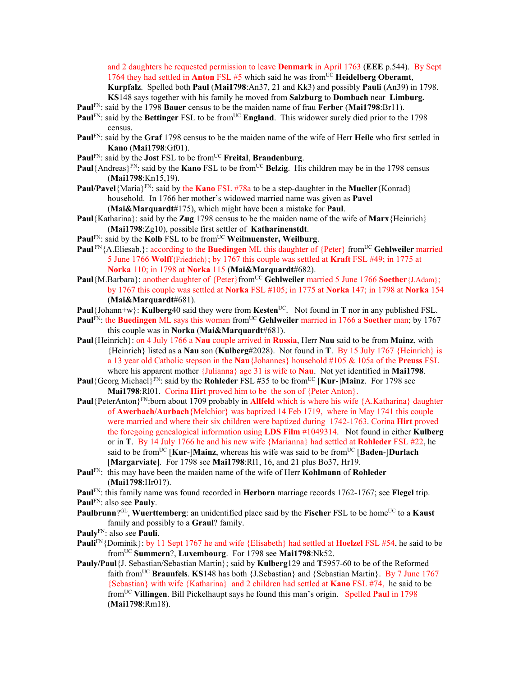and 2 daughters he requested permission to leave **Denmark** in April 1763 (**EEE** p.544). By Sept 1764 they had settled in **Anton** FSL #5 which said he was from<sup>UC</sup> Heidelberg Oberamt, **Kurpfalz**. Spelled both **Paul** (**Mai1798**:An37, 21 and Kk3) and possibly **Pauli** (An39) in 1798. **KS**148 says together with his family he moved from **Salzburg** to **Dombach** near **Limburg.**

**Paul**FN: said by the 1798 **Bauer** census to be the maiden name of frau **Ferber** (**Mai1798**:Br11).

- **PaulFN:** said by the **Bettinger** FSL to be from<sup>UC</sup> **England**. This widower surely died prior to the 1798 census.
- **Paul**FN: said by the **Graf** 1798 census to be the maiden name of the wife of Herr **Heile** who first settled in **Kano** (**Mai1798**:Gf01).
- **Paul**FN: said by the **Jost** FSL to be fromUC **Freital**, **Brandenburg**.
- **Paul**{Andreas}<sup>FN</sup>: said by the **Kano** FSL to be from<sup>UC</sup> **Belzig**. His children may be in the 1798 census (**Mai1798**:Kn15,19).
- **Paul/Pavel**{Maria}<sup>FN</sup>: said by the **Kano** FSL #78a to be a step-daughter in the **Mueller**{Konrad} household. In 1766 her mother's widowed married name was given as **Pavel** (**Mai&Marquardt**#175), which might have been a mistake for **Paul**.
- **Paul**{Katharina}: said by the **Zug** 1798 census to be the maiden name of the wife of **Marx**{Heinrich} (**Mai1798**:Zg10), possible first settler of **Katharinenstdt**.
- Paul<sup>FN</sup>: said by the Kolb FSL to be from<sup>UC</sup> Weilmuenster, Weilburg.
- Paul<sup>FN</sup>{A.Eliesab.}: according to the **Buedingen** ML this daughter of {Peter} from<sup>UC</sup> Gehlweiler married 5 June 1766 **Wolff**{Friedrich}; by 1767 this couple was settled at **Kraft** FSL #49; in 1775 at **Norka** 110; in 1798 at **Norka** 115 (**Mai&Marquardt**#682).
- Paul{M.Barbara}: another daughter of {Peter}from<sup>UC</sup> Gehlweiler married 5 June 1766 Soether{J.Adam}; by 1767 this couple was settled at **Norka** FSL #105; in 1775 at **Norka** 147; in 1798 at **Norka** 154 (**Mai&Marquardt**#681).
- **Paul**{Johann+w}: **Kulberg**40 said they were from **Kesten**UC. Not found in **T** nor in any published FSL.
- Paul<sup>FN</sup>: the Buedingen ML says this woman from<sup>UC</sup> Gehlweiler married in 1766 a Soether man; by 1767 this couple was in **Norka** (**Mai&Marquardt**#681).
- **Paul**{Heinrich}: on 4 July 1766 a **Nau** couple arrived in **Russia**, Herr **Nau** said to be from **Mainz**, with {Heinrich} listed as a **Nau** son (**Kulberg**#2028). Not found in **T**. By 15 July 1767 {Heinrich} is a 13 year old Catholic stepson in the **Nau**{Johannes} household #105 & 105a of the **Preuss** FSL where his apparent mother {Julianna} age 31 is wife to **Nau**. Not yet identified in **Mai1798**.
- **Paul**{Georg Michael}<sup>FN</sup>: said by the **Rohleder** FSL #35 to be from<sup>UC</sup> [**Kur-]Mainz**. For 1798 see **Mai1798**:Rl01. Corina **Hirt** proved him to be the son of {Peter Anton}.
- **Paul**{PeterAnton}FN:born about 1709 probably in **Allfeld** which is where his wife {A.Katharina} daughter of **Awerbach/Aurbach**{Melchior} was baptized 14 Feb 1719, where in May 1741 this couple were married and where their six children were baptized during 1742-1763. Corina **Hirt** proved the foregoing genealogical information using **LDS Film** #1049314. Not found in either **Kulberg**  or in **T**. By 14 July 1766 he and his new wife {Marianna} had settled at **Rohleder** FSL #22, he said to be from<sup>UC</sup> [**Kur-**]**Mainz**, whereas his wife was said to be from<sup>UC</sup> [**Baden-**]Durlach [**Margarviate**]. For 1798 see **Mai1798**:Rl1, 16, and 21 plus Bo37, Hr19.
- **Paul**FN: this may have been the maiden name of the wife of Herr **Kohlmann** of **Rohleder** (**Mai1798**:Hr01?).
- **Paul**FN: this family name was found recorded in **Herborn** marriage records 1762-1767; see **Flegel** trip.

**Paul**FN: also see **Pauly**.

- **Paulbrunn**?<sup>GL</sup>, **Wuerttemberg**: an unidentified place said by the **Fischer** FSL to be home<sup>UC</sup> to a **Kaust** family and possibly to a **Graul**? family.
- **Pauly**FN: also see **Pauli**.
- **Pauli**FN{Dominik}: by 11 Sept 1767 he and wife {Elisabeth} had settled at **Hoelzel** FSL #54, he said to be fromUC **Summern**?, **Luxembourg**. For 1798 see **Mai1798**:Nk52.
- **Pauly/Paul**{J. Sebastian/Sebastian Martin}; said by **Kulberg**129 and **T**5957-60 to be of the Reformed faith fromUC **Braunfels**. **KS**148 has both {J.Sebastian} and {Sebastian Martin}.By 7 June 1767 {Sebastian} with wife {Katharina} and 2 children had settled at **Kano** FSL #74, he said to be fromUC **Villingen**. Bill Pickelhaupt says he found this man's origin. Spelled **Paul** in 1798 (**Mai1798**:Rm18).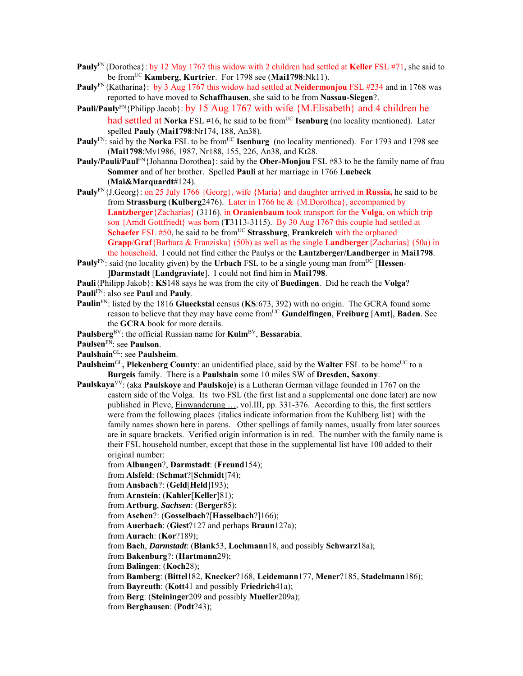- **Pauly**FN{Dorothea}: by 12 May 1767 this widow with 2 children had settled at **Keller** FSL #71, she said to be fromUC **Kamberg**, **Kurtrier**. For 1798 see (**Mai1798**:Nk11).
- **Pauly**FN{Katharina}: by 3 Aug 1767 this widow had settled at **Neidermonjou** FSL #234 and in 1768 was reported to have moved to **Schaffhausen**, she said to be from **Nassau-Siegen**?.
- **Pauli/Pauly**FN{Philipp Jacob}: by 15 Aug 1767 with wife {M.Elisabeth} and 4 children he had settled at Norka FSL #16, he said to be from<sup>UC</sup> **Isenburg** (no locality mentioned). Later spelled **Pauly** (**Mai1798**:Nr174, 188, An38).
- **Pauly**<sup>FN</sup>: said by the **Norka** FSL to be from<sup>UC</sup> **Isenburg** (no locality mentioned). For 1793 and 1798 see (**Mai1798**:Mv1986, 1987, Nr188, 155, 226, An38, and Kt28.
- **Pauly/Pauli/Pauli<sup>FN</sup>**{Johanna Dorothea}: said by the **Ober-Monjou** FSL #83 to be the family name of frau **Sommer** and of her brother. Spelled **Pauli** at her marriage in 1766 **Luebeck** (**Mai&Marquardt**#124).
- **Pauly**<sup>FN</sup>{J.Georg}: on 25 July 1766 {Georg}, wife {Maria} and daughter arrived in **Russia**, he said to be from **Strassburg** (**Kulberg**2476).Later in 1766 he & {M.Dorothea}, accompanied by **Lantzberger**{Zacharias} (3116), in **Oranienbaum** took transport for the **Volga**, on which trip son {Arndt Gottfriedt} was born (**T**3113-3115). By 30 Aug 1767 this couple had settled at **Schaefer** FSL #50, he said to be from<sup>UC</sup> Strassburg, Frankreich with the orphaned **Grapp**/**Graf**{Barbara & Franziska} (50b) as well as the single **Landberger**{Zacharias} (50a) in the household. I could not find either the Paulys or the **Lantzberger/Landberger** in **Mai1798**.
- **Pauly**<sup>FN</sup>: said (no locality given) by the **Urbach** FSL to be a single young man from<sup>UC</sup> [**Hessen**-]**Darmstadt** [**Landgraviate**]. I could not find him in **Mai1798**.
- **Pauli**{Philipp Jakob}: **KS**148 says he was from the city of **Buedingen**. Did he reach the **Volga**?
- **Pauli**FN: also see **Paul** and **Pauly**.
- **Paulin**FN: listed by the 1816 **Glueckstal** census (**KS**:673, 392) with no origin. The GCRA found some reason to believe that they may have come fromUC **Gundelfingen**, **Freiburg** [**Amt**], **Baden**. See the **GCRA** book for more details.
- Paulsberg<sup>BV</sup>: the official Russian name for **Kulm<sup>BV</sup>**, **Bessarabia**.
- **Paulsen**FN: see **Paulson**.
- **Paulshain**GL: see **Paulsheim**.
- **Paulsheim**<sup>GL</sup>, Plekenberg County: an unidentified place, said by the Walter FSL to be home<sup>UC</sup> to a **Burgeis** family. There is a **Paulshain** some 10 miles SW of **Dresden, Saxony**.
- **Paulskaya**VV: (aka **Paulskoye** and **Paulskoje**) is a Lutheran German village founded in 1767 on the eastern side of the Volga. Its two FSL (the first list and a supplemental one done later) are now published in Pleve, Einwanderung …, vol.III, pp. 331-376. According to this, the first settlers were from the following places {italics indicate information from the Kuhlberg list} with the family names shown here in parens. Other spellings of family names, usually from later sources are in square brackets. Verified origin information is in red. The number with the family name is their FSL household number, except that those in the supplemental list have 100 added to their original number:
	- from **Albungen**?, **Darmstadt**: (**Freund**154);
	- from **Alsfeld**: (**Schmat**?[**Schmidt**]74);
	- from **Ansbach**?: (**Geld**[**Held**]193);
	- from **Arnstein**: (**Kahler**[**Keller**]81);
	- from **Artburg**, *Sachsen*: (**Berger**85);
	- from **Aschen**?: (**Gosselbach**?[**Hasselbach**?]166);
	- from **Auerbach**: (**Giest**?127 and perhaps **Braun**127a);
	- from **Aurach**: (**Kor**?189);
	- from **Bach**, *Darmstadt*: (**Blank**53, **Lochmann**18, and possibly **Schwarz**18a);
	- from **Bakenburg**?: (**Hartmann**29);
	- from **Balingen**: (**Koch**28);
	- from **Bamberg**: (**Bittel**182, **Knecker**?168, **Leidemann**177, **Mener**?185, **Stadelmann**186);
	- from **Bayreuth**: (**Kott**41 and possibly **Friedrich**41a);
	- from **Berg**: (**Steininger**209 and possibly **Mueller**209a);
	- from **Berghausen**: (**Podt**?43);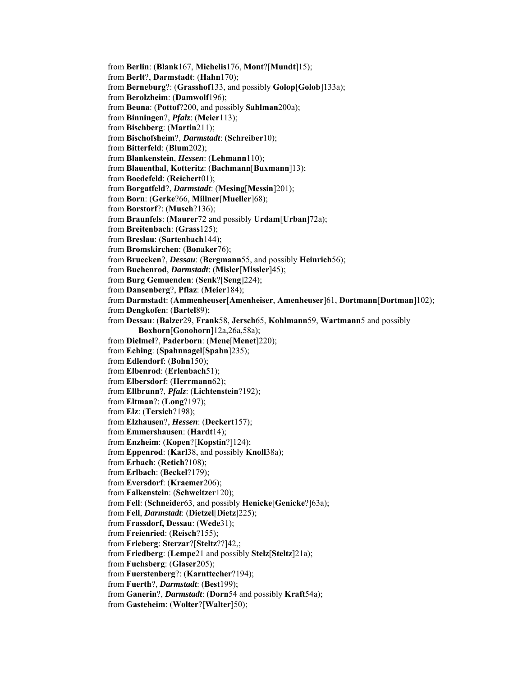from **Berlin**: (**Blank**167, **Michelis**176, **Mont**?[**Mundt**]15); from **Berlt**?, **Darmstadt**: (**Hahn**170); from **Berneburg**?: (**Grasshof**133, and possibly **Golop**[**Golob**]133a); from **Berolzheim**: (**Damwolf**196); from **Beuna**: (**Pottof**?200, and possibly **Sahlman**200a); from **Binningen**?, *Pfalz*: (**Meier**113); from **Bischberg**: (**Martin**211); from **Bischofsheim**?, *Darmstadt*: (**Schreiber**10); from **Bitterfeld**: (**Blum**202); from **Blankenstein**, *Hessen*: (**Lehmann**110); from **Blauenthal**, **Kotteritz**: (**Bachmann**[**Buxmann**]13); from **Boedefeld**: (**Reichert**01); from **Borgatfeld**?, *Darmstadt*: (**Mesing**[**Messin**]201); from **Born**: (**Gerke**?66, **Millner**[**Mueller**]68); from **Borstorf**?: (**Musch**?136); from **Braunfels**: (**Maurer**72 and possibly **Urdam**[**Urban**]72a); from **Breitenbach**: (**Grass**125); from **Breslau**: (**Sartenbach**144); from **Bromskirchen**: (**Bonaker**76); from **Bruecken**?, *Dessau*: (**Bergmann**55, and possibly **Heinrich**56); from **Buchenrod**, *Darmstadt*: (**Misler**[**Missler**]45); from **Burg Gemuenden**: (**Senk**?[**Seng**]224); from **Dansenberg**?, **Pflaz**: (**Meier**184); from **Darmstadt**: (**Ammenheuser**[**Amenheiser**, **Amenheuser**]61, **Dortmann**[**Dortman**]102); from **Dengkofen**: (**Bartel**89); from **Dessau**: (**Balzer**29, **Frank**58, **Jersch**65, **Kohlmann**59, **Wartmann**5 and possibly **Boxhorn**[**Gonohorn**]12a,26a,58a); from **Dielmel**?, **Paderborn**: (**Mene**[**Menet**]220); from **Eching**: (**Spahnnagel**[**Spahn**]235); from **Edlendorf**: (**Bohn**150); from **Elbenrod**: (**Erlenbach**51); from **Elbersdorf**: (**Herrmann**62); from **Ellbrunn**?, *Pfalz*: (**Lichtenstein**?192); from **Eltman**?: (**Long**?197); from **Elz**: (**Tersich**?198); from **Elzhausen**?, *Hessen*: (**Deckert**157); from **Emmershausen**: (**Hardt**14); from **Enzheim**: (**Kopen**?[**Kopstin**?]124); from **Eppenrod**: (**Karl**38, and possibly **Knoll**38a); from **Erbach**: (**Retich**?108); from **Erlbach**: (**Beckel**?179); from **Eversdorf**: (**Kraemer**206); from **Falkenstein**: (**Schweitzer**120); from **Fell**: (**Schneider**63, and possibly **Henicke**[**Genicke**?]63a); from **Fell**, *Darmstadt*: (**Dietzel**[**Dietz**]225); from **Frassdorf, Dessau**: (**Wede**31); from **Freienried**: (**Reisch**?155); from **Frieberg**: **Sterzar**?[**Steltz**??]42,; from **Friedberg**: (**Lempe**21 and possibly **Stelz**[**Steltz**]21a); from **Fuchsberg**: (**Glaser**205); from **Fuerstenberg**?: (**Karnttecher**?194); from **Fuerth**?, *Darmstadt*: (**Best**199); from **Ganerin**?, *Darmstadt*: (**Dorn**54 and possibly **Kraft**54a); from **Gasteheim**: (**Wolter**?[**Walter**]50);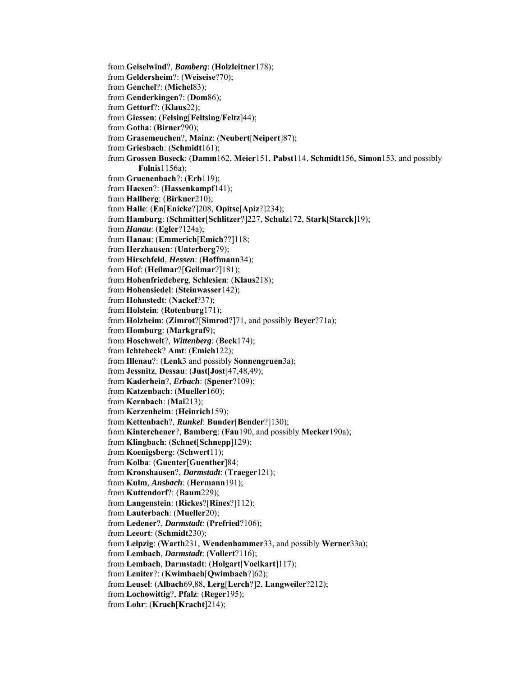from **Geiselwind**?, *Bamberg*: (**Holzleitner**178); from **Geldersheim**?: (**Weiseise**?70); from **Genchel**?: (**Michel**83); from **Genderkingen**?: (**Dom**86); from **Gettorf**?: (**Klaus**22); from **Giessen**: (**Felsing**[**Feltsing**/**Feltz**]44); from **Gotha**: (**Birner**?90); from **Grasemeuchen**?, **Mainz**: (**Neubert**[**Neipert**]87); from **Griesbach**: (**Schmidt**161); from **Grossen Buseck**: (**Damm**162, **Meier**151, **Pabst**114, **Schmidt**156, **Simon**153, and possibly **Folnis**1156a); from **Gruenenbach**?: (**Erb**119); from **Haesen**?: (**Hassenkampf**141); from **Hallberg**: (**Birkner**210); from **Halle**: (**En**[**Enicke**?]208, **Opitsc**[**Apiz**?]234); from **Hamburg**: (**Schmitter**[**Schlitzer**?]227, **Schulz**172, **Stark**[**Starck**]19); from *Hanau*: (**Egler**?124a); from **Hanau**: (**Emmerich**[**Emich**??]118; from **Herzhausen**: (**Unterberg**79); from **Hirschfeld**, *Hessen*: (**Hoffmann**34); from **Hof**: (**Heilmar**?[**Geilmar**?]181); from **Hohenfriedeberg**, **Schlesien**: (**Klaus**218); from **Hohensiedel**: (**Steinwasser**142); from **Hohnstedt**: (**Nackel**?37); from **Holstein**: (**Rotenburg**171); from **Holzheim**: (**Zimrot**?[**Simrod**?]71, and possibly **Beyer**?71a); from **Homburg**: (**Markgraf**9); from **Hoschwelt**?, *Wittenberg*: (**Beck**174); from **Ichtebeck**? **Amt**: (**Emich**122); from **Illenau**?: (**Lenk**3 and possibly **Sonnengruen**3a); from **Jessnitz**, **Dessau**: (**Just**[**Jost**]47,48,49); from **Kaderhein**?, *Erbach*: (**Spener**?109); from **Katzenbach**: (**Mueller**160); from **Kernbach**: (**Mai**213); from **Kerzenheim**: (**Heinrich**159); from **Kettenbach**?, *Runkel*: **Bunder**[**Bender**?]130); from **Kinterchener**?, **Bamberg**: (**Fau**190, and possibly **Mecker**190a); from **Klingbach**: (**Schnet**[**Schnepp**]129); from **Koenigsberg**: (**Schwert**11); from **Kolba**: (**Guenter**[**Guenther**]84; from **Kronshausen**?, *Darmstadt*: (**Traeger**121); from **Kulm**, *Ansbach*: (**Hermann**191); from **Kuttendorf**?: (**Baum**229); from **Langenstein**: (**Rickes**?[**Rines**?]112); from **Lauterbach**: (**Mueller**20); from **Ledener**?, *Darmstadt*: (**Prefried**?106); from **Leeort**: (**Schmidt**230); from **Leipzig**: (**Warth**231, **Wendenhammer**33, and possibly **Werner**33a); from **Lembach**, *Darmstadt*: (**Vollert**?116); from **Lembach**, **Darmstadt**: (**Holgart**[**Voelkart**]117); from **Leniter**?: (**Kwimbach**[**Qwimbach**?]62); from **Leusel**: (**Albach**69,88, **Lerg**[**Lerch**?]2, **Langweiler**?212); from **Lochowittig**?, **Pfalz**: (**Reger**195); from **Lohr**: (**Krach**[**Kracht**]214);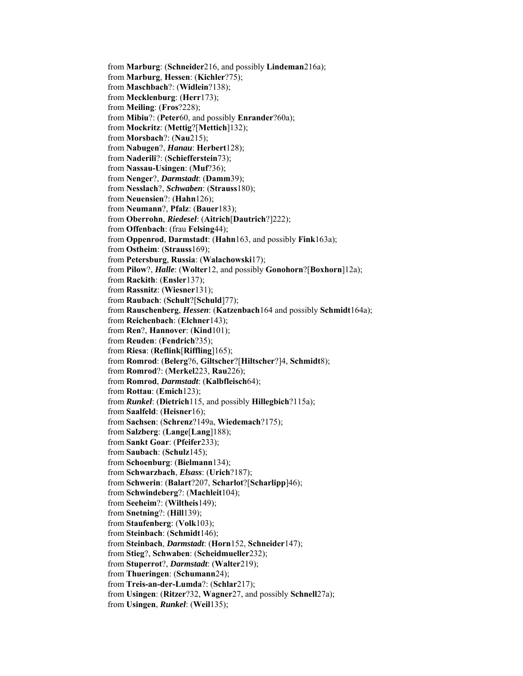from **Marburg**: (**Schneider**216, and possibly **Lindeman**216a); from **Marburg**, **Hessen**: (**Kichler**?75); from **Maschbach**?: (**Widlein**?138); from **Mecklenburg**: (**Herr**173); from **Meiling**: (**Fros**?228); from **Mibiu**?: (**Peter**60, and possibly **Enrander**?60a); from **Mockritz**: (**Mettig**?[**Mettich**]132); from **Morsbach**?: (**Nau**215); from **Nabugen**?, *Hanau*: **Herbert**128); from **Naderili**?: (**Schiefferstein**73); from **Nassau-Usingen**: (**Muf**?36); from **Nenger**?, *Darmstadt*: (**Damm**39); from **Nesslach**?, *Schwaben*: (**Strauss**180); from **Neuensien**?: (**Hahn**126); from **Neumann**?, **Pfalz**: (**Bauer**183); from **Oberrohn**, *Riedesel*: (**Aitrich**[**Dautrich**?]222); from **Offenbach**: (frau **Felsing**44); from **Oppenrod**, **Darmstadt**: (**Hahn**163, and possibly **Fink**163a); from **Ostheim**: (**Strauss**169); from **Petersburg**, **Russia**: (**Walachowski**17); from **Pilow**?, *Halle*: (**Wolter**12, and possibly **Gonohorn**?[**Boxhorn**]12a); from **Rackith**: (**Ensler**137); from **Rassnitz**: (**Wiesner**131); from **Raubach**: (**Schult**?[**Schuld**]77); from **Rauschenberg**, *Hessen*: (**Katzenbach**164 and possibly **Schmidt**164a); from **Reichenbach**: (**Elchner**143); from **Ren**?, **Hannover**: (**Kind**101); from **Reuden**: (**Fendrich**?35); from **Riesa**: (**Reflink**[**Riffling**]165); from **Romrod**: (**Belerg**?6, **Giltscher**?[**Hiltscher**?]4, **Schmidt**8); from **Romrod**?: (**Merkel**223, **Rau**226); from **Romrod**, *Darmstadt*: (**Kalbfleisch**64); from **Rottau**: (**Emich**123); from *Runkel*: (**Dietrich**115, and possibly **Hillegbich**?115a); from **Saalfeld**: (**Heisner**16); from **Sachsen**: (**Schrenz**?149a, **Wiedemach**?175); from **Salzberg**: (**Lange**[**Lang**]188); from **Sankt Goar**: (**Pfeifer**233); from **Saubach**: (**Schulz**145); from **Schoenburg**: (**Bielmann**134); from **Schwarzbach**, *Elsass*: (**Urich**?187); from **Schwerin**: (**Balart**?207, **Scharlot**?[**Scharlipp**]46); from **Schwindeberg**?: (**Machleit**104); from **Seeheim**?: (**Wiltheis**149); from **Snetning**?: (**Hill**139); from **Staufenberg**: (**Volk**103); from **Steinbach**: (**Schmidt**146); from **Steinbach**, *Darmstadt*: (**Horn**152, **Schneider**147); from **Stieg**?, **Schwaben**: (**Scheidmueller**232); from **Stuperrot**?, *Darmstadt*: (**Walter**219); from **Thueringen**: (**Schumann**24); from **Treis-an-der-Lumda**?: (**Schlar**217); from **Usingen**: (**Ritzer**?32, **Wagner**27, and possibly **Schnell**27a); from **Usingen**, *Runkel*: (**Weil**135);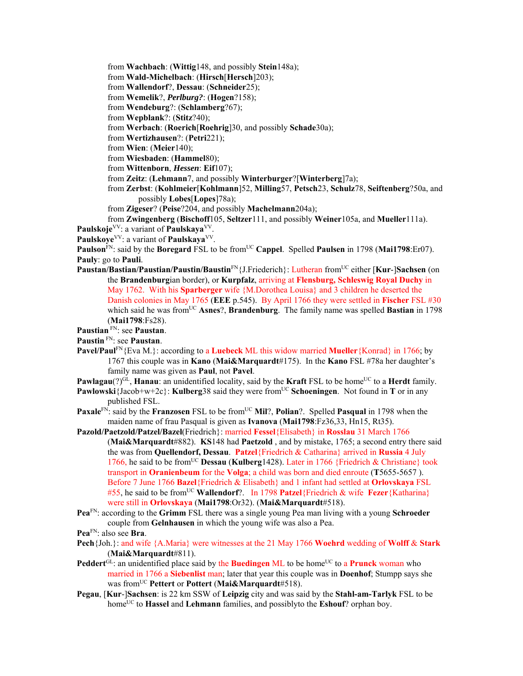from **Wachbach**: (**Wittig**148, and possibly **Stein**148a);

from **Wald-Michelbach**: (**Hirsch**[**Hersch**]203);

from **Wallendorf**?, **Dessau**: (**Schneider**25);

from **Wemelik**?, *Perlburg?*: (**Hogen**?158);

from **Wendeburg**?: (**Schlamberg**?67);

from **Wepblank**?: (**Stitz**?40);

from **Werbach**: (**Roerich**[**Roehrig**]30, and possibly **Schade**30a);

from **Wertizhausen**?: (**Petri**221);

from **Wien**: (**Meier**140);

from **Wiesbaden**: (**Hammel**80);

from **Wittenborn**, *Hessen*: **Eif**107);

from **Zeitz**: (**Lehmann**7, and possibly **Winterburger**?[**Winterberg**]7a);

- from **Zerbst**: (**Kohlmeier**[**Kohlmann**]52, **Milling**57, **Petsch**23, **Schulz**78, **Seiftenberg**?50a, and possibly **Lobes**[**Lopes**]78a);
- from **Zigeser**? (**Peise**?204, and possibly **Machelmann**204a);

from **Zwingenberg** (**Bischoff**105, **Seltzer**111, and possibly **Weiner**105a, and **Mueller**111a). Paulskoje<sup>VV</sup>: a variant of **Paulskaya**<sup>VV</sup>.

**Paulskoye**VV: a variant of **Paulskaya**VV.

**Paulson**<sup>FN</sup>: said by the **Boregard** FSL to be from<sup>UC</sup> Cappel. Spelled **Paulsen** in 1798 (Mai1798:Er07). **Pauly**: go to **Pauli**.

**Paustan/Bastian/Paustian/Paustin/Baustin**FN{J.Friederich}: Lutheran fromUC either [**Kur**-]**Sachsen** (on the **Brandenburg**ian border), or **Kurpfalz**, arriving at **Flensburg, Schleswig Royal Duchy** in May 1762. With his **Sparberger** wife {M.Dorothea Louisa} and 3 children he deserted the Danish colonies in May 1765 (**EEE** p.545). By April 1766 they were settled in **Fischer** FSL #30 which said he was from<sup>UC</sup> Asnes?, **Brandenburg**. The family name was spelled **Bastian** in 1798 (**Mai1798**:Fs28).

**Paustian** FN: see **Paustan**.

**Paustin** FN: see **Paustan**.

**Pavel/Paul**FN{Eva M.}: according to a **Luebeck** ML this widow married **Mueller**{Konrad} in 1766; by 1767 this couple was in **Kano** (**Mai&Marquardt**#175). In the **Kano** FSL #78a her daughter's family name was given as **Paul**, not **Pavel**.

**Pawlagau**(?)<sup>GL</sup>, **Hanau**: an unidentified locality, said by the **Kraft** FSL to be home<sup>UC</sup> to a **Herdt** family.

**Pawlowski**{Jacob+w+2c}: **Kulberg**38 said they were from<sup>UC</sup> Schoeningen. Not found in **T** or in any published FSL.

**Paxale**FN: said by the **Franzosen** FSL to be from<sup>UC</sup> Mil<sup>2</sup>, Polian<sup>2</sup>. Spelled **Pasqual** in 1798 when the maiden name of frau Pasqual is given as **Ivanova** (**Mai1798**:Fz36,33, Hn15, Rt35).

- **Pazold/Paetzold/Patzel/Bazel**(Friedrich}: married **Fessel**{Elisabeth} in **Rosslau** 31 March 1766 (**Mai&Marquardt**#882). **KS**148 had **Paetzold** , and by mistake, 1765; a second entry there said the was from **Quellendorf, Dessau**. **Patzel**{Friedrich & Catharina} arrived in **Russia** 4 July 1766, he said to be fromUC **Dessau** (**Kulberg**1428). Later in 1766 {Friedrich & Christiane} took transport in **Oranienbeum** for the **Volga**; a child was born and died enroute (**T**5655-5657 ). Before 7 June 1766 **Bazel**{Friedrich & Elisabeth} and 1 infant had settled at **Orlovskaya** FSL #55, he said to be from<sup>UC</sup> Wallendorf?. In 1798 Patzel{Friedrich & wife **Fezer**{Katharina} were still in **Orlovskaya** (**Mai1798**:Or32). (**Mai&Marquardt**#518).
- **Pea**FN: according to the **Grimm** FSL there was a single young Pea man living with a young **Schroeder** couple from **Gelnhausen** in which the young wife was also a Pea.

- **Pech**{Joh.}: and wife {A.Maria} were witnesses at the 21 May 1766 **Woehrd** wedding of **Wolff** & **Stark**  (**Mai&Marquardt**#811).
- **Peddert**<sup>GL</sup>: an unidentified place said by the **Buedingen** ML to be home<sup>UC</sup> to a **Prunck** woman who married in 1766 a **Siebenlist** man; later that year this couple was in **Doenhof**; Stumpp says she was fromUC **Pettert** or **Pottert** (**Mai&Marquardt**#518).
- **Pegau**, [**Kur**-]**Sachsen**: is 22 km SSW of **Leipzig** city and was said by the **Stahl-am-Tarlyk** FSL to be home<sup>UC</sup> to **Hassel** and **Lehmann** families, and possiblyto the **Eshouf**? orphan boy.

**Pea**FN: also see **Bra**.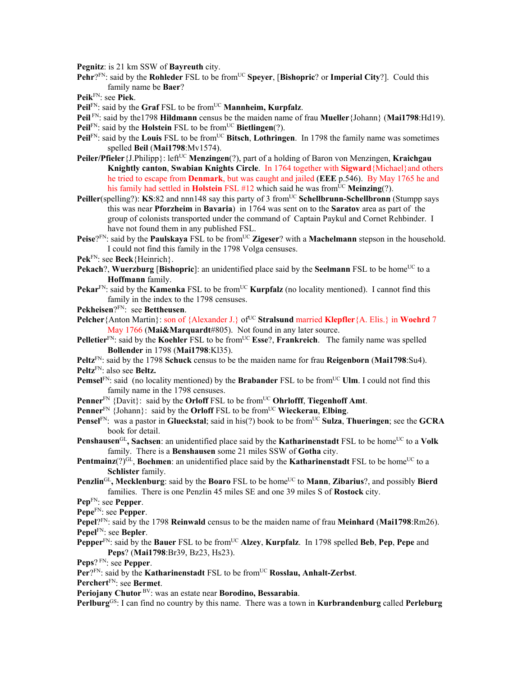**Pegnitz**: is 21 km SSW of **Bayreuth** city.

**Pehr**?FN: said by the **Rohleder** FSL to be from<sup>UC</sup> **Speyer**, [Bishopric? or Imperial City?]. Could this family name be **Baer**?

**Peik**FN: see **Piek**.

- **Peil**FN: said by the **Graf** FSL to be from<sup>UC</sup> **Mannheim, Kurpfalz**.
- **Peil** FN: said by the1798 **Hildmann** census be the maiden name of frau **Mueller**{Johann} (**Mai1798**:Hd19).
- **Peil**FN: said by the **Holstein** FSL to be from<sup>UC</sup> **Bietlingen**(?).
- **Peil**FN: said by the **Louis** FSL to be from<sup>UC</sup> Bitsch, **Lothringen**. In 1798 the family name was sometimes spelled **Beil** (**Mai1798**:Mv1574).
- **Peiler/Pfieler** {J.Philipp}: left<sup>UC</sup> **Menzingen**(?), part of a holding of Baron von Menzingen, **Kraichgau Knightly canton**, **Swabian Knights Circle**. In 1764 together with **Sigward**{Michael}and others he tried to escape from **Denmark**, but was caught and jailed (**EEE** p.546). By May 1765 he and his family had settled in **Holstein** FSL #12 which said he was from<sup>UC</sup> **Meinzing**(?).
- Peiller(spelling?): KS:82 and nnn148 say this party of 3 from<sup>UC</sup> Schellbrunn-Schellbronn (Stumpp says this was near **Pforzheim** in **Bavaria**) in 1764 was sent on to the **Saratov** area as part of the group of colonists transported under the command of Captain Paykul and Cornet Rehbinder. I have not found them in any published FSL.
- Peise?FN: said by the Paulskaya FSL to be from<sup>UC</sup> Zigeser? with a Machelmann stepson in the household. I could not find this family in the 1798 Volga censuses.
- **Pek**FN: see **Beck**{Heinrich}.
- **Pekach**?, **Wuerzburg** [Bishopric]: an unidentified place said by the **Seelmann** FSL to be home<sup>UC</sup> to a **Hoffmann** family.
- **Pekar**FN: said by the **Kamenka** FSL to be from<sup>UC</sup> **Kurpfalz** (no locality mentioned). I cannot find this family in the index to the 1798 censuses.
- **Pekheisen**?FN: see **Bettheusen**.
- **Pelcher**{Anton Martin}: son of {Alexander J.} of<sup>UC</sup> Stralsund married **Klepfler**{A. Elis.} in **Woehrd** 7 May 1766 (**Mai&Marquardt**#805). Not found in any later source.
- **Pelletier**FN: said by the **Koehler** FSL to be fromUC **Esse**?, **Frankreich**. The family name was spelled **Bollender** in 1798 (**Mai1798**:Kl35).
- **Peltz**FN: said by the 1798 **Schuck** census to be the maiden name for frau **Reigenborn** (**Mai1798**:Su4). **Peltz**FN: also see **Beltz.**
- **Pemsel**FN: said (no locality mentioned) by the **Brabander** FSL to be from<sup>UC</sup> **Ulm**. I could not find this family name in the 1798 censuses.
- **Penner**<sup>FN</sup> {Davit}: said by the **Orloff** FSL to be from<sup>UC</sup> **Ohrlofff**, **Tiegenhoff** Amt.
- **Penner**<sup>FN</sup> {Johann}: said by the **Orloff** FSL to be from<sup>UC</sup> **Wieckerau**, **Elbing**.
- **Pensel**FN: was a pastor in **Glueckstal**; said in his(?) book to be from<sup>UC</sup> **Sulza**, **Thueringen**; see the **GCRA** book for detail.
- **Penshausen**<sup>GL</sup>, Sachsen: an unidentified place said by the **Katharinenstadt** FSL to be home<sup>UC</sup> to a **Volk** family. There is a **Benshausen** some 21 miles SSW of **Gotha** city.
- **Pentmainz**( $?$ )<sup>GL</sup>, **Boehmen**: an unidentified place said by the **Katharinenstadt** FSL to be home<sup>UC</sup> to a **Schlister** family.
- **Penzlin**<sup>GL</sup>, Mecklenburg: said by the **Boaro** FSL to be home<sup>UC</sup> to **Mann**, **Zibarius**?, and possibly **Bierd** families. There is one Penzlin 45 miles SE and one 39 miles S of **Rostock** city.
- **Pep**FN: see **Pepper**.

**Pepe**FN: see **Pepper**.

- **Pepel**?FN: said by the 1798 **Reinwald** census to be the maiden name of frau **Meinhard** (**Mai1798**:Rm26). **Pepel**FN: see **Bepler**.
- **Pepper**<sup>FN</sup>: said by the **Bauer** FSL to be from<sup>UC</sup> **Alzey**, **Kurpfalz**. In 1798 spelled **Beb**, **Pep**, **Pepe** and **Peps**? (**Mai1798**:Br39, Bz23, Hs23).

**Peps**? FN: see **Pepper**.

**Per**?FN: said by the **Katharinenstadt** FSL to be from<sup>UC</sup> **Rosslau, Anhalt-Zerbst**.

**Perchert**FN: see **Bermet**.

**Periojany Chutor** BV: was an estate near **Borodino, Bessarabia**.

**Perlburg**GS: I can find no country by this name. There was a town in **Kurbrandenburg** called **Perleburg**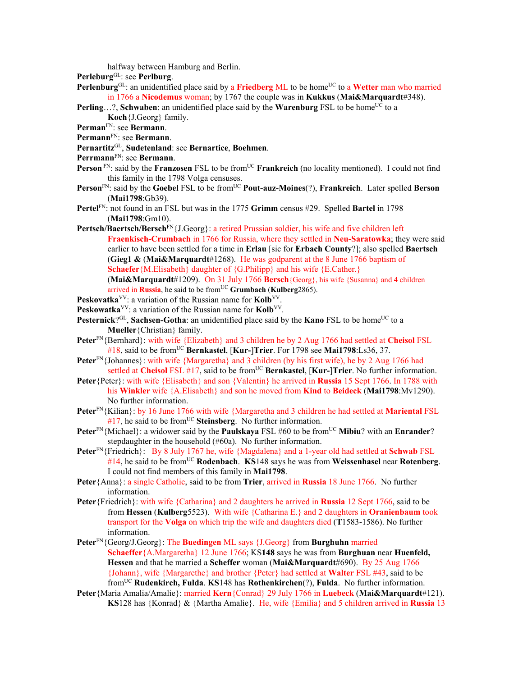halfway between Hamburg and Berlin.

- **Perleburg**GL: see **Perlburg**.
- **Perlenburg**<sup>GL</sup>: an unidentified place said by a **Friedberg** ML to be home<sup>UC</sup> to a **Wetter** man who married in 1766 a **Nicodemus** woman; by 1767 the couple was in **Kukkus** (**Mai&Marquardt**#348).

**Perling...?, Schwaben:** an unidentified place said by the **Warenburg** FSL to be home<sup>UC</sup> to a **Koch**{J.Georg} family.

- **Perman**FN: see **Bermann**.
- **Permann**FN: see **Bermann**.
- **Pernartitz**GL, **Sudetenland**: see **Bernartice**, **Boehmen**.
- **Perrmann**FN: see **Bermann**.
- **Person** FN: said by the **Franzosen** FSL to be from<sup>UC</sup> **Frankreich** (no locality mentioned). I could not find this family in the 1798 Volga censuses.
- **Person**<sup>FN</sup>: said by the **Goebel FSL** to be from<sup>UC</sup> **Pout-auz-Moines**(?), **Frankreich**. Later spelled **Berson** (**Mai1798**:Gb39).
- **Pertel**FN: not found in an FSL but was in the 1775 **Grimm** census #29. Spelled **Bartel** in 1798 (**Mai1798**:Gm10).
- **Pertsch/Baertsch/Bersch**FN{J.Georg}: a retired Prussian soldier, his wife and five children left **Fraenkisch-Crumbach** in 1766 for Russia, where they settled in **Neu-Saratowka**; they were said earlier to have been settled for a time in **Erlau** [sic for **Erbach County**?]; also spelled **Baertsch** (**Gieg1 &** (**Mai&Marquardt**#1268). He was godparent at the 8 June 1766 baptism of **Schaefer** {M.Elisabeth} daughter of {G.Philipp} and his wife {E.Cather.}

(**Mai&Marquardt**#1209). On 31 July 1766 **Bersch**{Georg}, his wife {Susanna} and 4 children arrived in **Russia**, he said to be from<sup>UC</sup> Grumbach (Kulberg2865).

- **Peskovatka**<sup>VV</sup>: a variation of the Russian name for **Kolb**<sup>VV</sup>.
- Peskowatka<sup>VV</sup>: a variation of the Russian name for Kolb<sup>VV</sup>.
- **Pesternick**?<sup>GL</sup>, **Sachsen-Gotha**: an unidentified place said by the **Kano** FSL to be home<sup>UC</sup> to a **Mueller**{Christian} family.
- **Peter**FN{Bernhard}: with wife {Elizabeth} and 3 children he by 2 Aug 1766 had settled at **Cheisol** FSL #18, said to be fromUC **Bernkastel**, [**Kur-**]**Trier**. For 1798 see **Mai1798**:Ls36, 37.
- **Peter**<sup>FN</sup>{Johannes}: with wife {Margaretha} and 3 children (by his first wife), he by 2 Aug 1766 had settled at **Cheisol** FSL #17, said to be from<sup>UC</sup> **Bernkastel**, [**Kur-**]Trier. No further information.
- **Peter**{Peter}: with wife {Elisabeth} and son {Valentin} he arrived in **Russia** 15 Sept 1766. In 1788 with his **Winkler** wife {A.Elisabeth} and son he moved from **Kind** to **Beideck** (**Mai1798**:Mv1290). No further information.
- **Peter**FN{Kilian}: by 16 June 1766 with wife {Margaretha and 3 children he had settled at **Mariental** FSL #17, he said to be from<sup>UC</sup> Steinsberg. No further information.
- **Peter**<sup>FN</sup>{Michael}: a widower said by the **Paulskaya** FSL #60 to be from<sup>UC</sup> **Mibiu**? with an **Enrander**? stepdaughter in the household (#60a). No further information.
- **Peter**FN{Friedrich}: By 8 July 1767 he, wife {Magdalena} and a 1-year old had settled at **Schwab** FSL #14, he said to be fromUC **Rodenbach**. **KS**148 says he was from **Weissenhasel** near **Rotenberg**. I could not find members of this family in **Mai1798**.
- **Peter**{Anna}: a single Catholic, said to be from **Trier**, arrived in **Russia** 18 June 1766. No further information.
- **Peter**{Friedrich}: with wife {Catharina} and 2 daughters he arrived in **Russia** 12 Sept 1766, said to be from **Hessen** (**Kulberg**5523). With wife {Catharina E.} and 2 daughters in **Oranienbaum** took transport for the **Volga** on which trip the wife and daughters died (**T**1583-1586). No further information.
- **Peter**FN{Georg/J.Georg}: The **Buedingen** ML says {J.Georg} from **Burghuhn** married **Schaeffer**{A.Margaretha} 12 June 1766; KS**148** says he was from **Burghuan** near **Huenfeld, Hessen** and that he married a **Scheffer** woman (**Mai&Marquardt**#690). By 25 Aug 1766 {Johann}, wife {Margarethe} and brother {Peter} had settled at **Walter** FSL #43, said to be fromUC **Rudenkirch, Fulda**. **KS**148 has **Rothenkirchen**(?), **Fulda**. No further information.
- **Peter**{Maria Amalia/Amalie}: married **Kern**{Conrad} 29 July 1766 in **Luebeck** (**Mai&Marquardt**#121). **KS**128 has {Konrad} & {Martha Amalie}. He, wife {Emilia} and 5 children arrived in **Russia** 13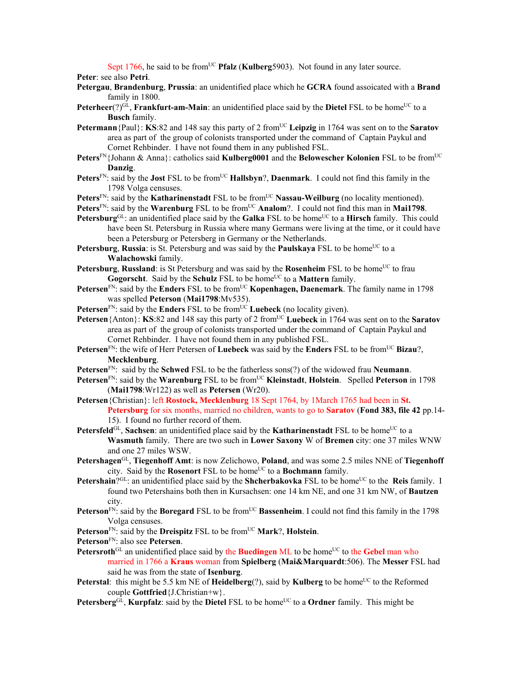Sept 1766, he said to be from<sup>UC</sup> **Pfalz** (**Kulberg**5903). Not found in any later source.

**Peter**: see also **Petri**.

- **Petergau**, **Brandenburg**, **Prussia**: an unidentified place which he **GCRA** found assoicated with a **Brand** family in 1800.
- **Peterheer**(?) $^{GL}$ , **Frankfurt-am-Main**: an unidentified place said by the **Dietel** FSL to be home<sup>UC</sup> to a **Busch** family.
- **Petermann**{Paul}: **KS**:82 and 148 say this party of 2 from<sup>UC</sup> Leipzig in 1764 was sent on to the **Saratov** area as part of the group of colonists transported under the command of Captain Paykul and Cornet Rehbinder. I have not found them in any published FSL.
- Peters<sup>FN</sup>{Johann & Anna}: catholics said **Kulberg0001** and the **Belowescher Kolonien** FSL to be from<sup>UC</sup> **Danzig**.
- Peters<sup>FN</sup>: said by the **Jost** FSL to be from<sup>UC</sup> **Hallsbyn**?, **Daenmark**. I could not find this family in the 1798 Volga censuses.
- Peters<sup>FN</sup>: said by the **Katharinenstadt** FSL to be from<sup>UC</sup> **Nassau-Weilburg** (no locality mentioned).
- **Peters**FN: said by the **Warenburg** FSL to be from<sup>UC</sup> **Analom**?. I could not find this man in **Mai1798**.
- **Petersburg**<sup>GL</sup>: an unidentified place said by the **Galka** FSL to be home<sup>UC</sup> to a **Hirsch** family. This could have been St. Petersburg in Russia where many Germans were living at the time, or it could have been a Petersburg or Petersberg in Germany or the Netherlands.
- **Petersburg, Russia**: is St. Petersburg and was said by the **Paulskaya** FSL to be home<sup>UC</sup> to a **Walachowski** family.
- **Petersburg, Russland**: is St Petersburg and was said by the **Rosenheim** FSL to be home<sup>UC</sup> to frau **Gogorscht**. Said by the **Schulz** FSL to be home<sup>UC</sup> to a **Mattern** family.
- **Petersen**<sup>FN</sup>: said by the **Enders** FSL to be from<sup>UC</sup> **Kopenhagen, Daenemark**. The family name in 1798 was spelled **Peterson** (**Mai1798**:Mv535).
- **Petersen**<sup>FN</sup>: said by the **Enders** FSL to be from<sup>UC</sup> **Luebeck** (no locality given).
- **Petersen**{Anton}: **KS**:82 and 148 say this party of 2 from<sup>UC</sup> **Luebeck** in 1764 was sent on to the **Saratov** area as part of the group of colonists transported under the command of Captain Paykul and Cornet Rehbinder. I have not found them in any published FSL.
- **Petersen**<sup>FN</sup>: the wife of Herr Petersen of **Luebeck** was said by the **Enders** FSL to be from<sup>UC</sup> Bizau?, **Mecklenburg**.
- **Petersen**FN: said by the **Schwed** FSL to be the fatherless sons(?) of the widowed frau **Neumann**.
- Petersen<sup>FN</sup>: said by the Warenburg FSL to be from<sup>UC</sup> Kleinstadt, Holstein. Spelled Peterson in 1798 (**Mai1798**:Wr122) as well as **Petersen** (Wr20).
- **Petersen**{Christian}: left **Rostock, Mecklenburg** 18 Sept 1764, by 1March 1765 had been in **St. Petersburg** for six months, married no children, wants to go to **Saratov** (**Fond 383, file 42** pp.14- 15). I found no further record of them.
- **Petersfeld**<sup>GL</sup>, **Sachsen**: an unidentified place said by the **Katharinenstadt** FSL to be home<sup>UC</sup> to a **Wasmuth** family. There are two such in **Lower Saxony** W of **Bremen** city: one 37 miles WNW and one 27 miles WSW.
- **Petershagen**GL, **Tiegenhoff Amt**: is now Zelichowo, **Poland**, and was some 2.5 miles NNE of **Tiegenhoff** city. Said by the **Rosenort** FSL to be home<sup>UC</sup> to a **Bochmann** family.
- **Petershain**?<sup>GL</sup>: an unidentified place said by the **Shcherbakovka** FSL to be home<sup>UC</sup> to the **Reis** family. I found two Petershains both then in Kursachsen: one 14 km NE, and one 31 km NW, of **Bautzen** city.
- **Peterson**<sup>FN:</sup> said by the **Boregard** FSL to be from<sup>UC</sup> **Bassenheim**. I could not find this family in the 1798 Volga censuses.
- Peterson<sup>FN</sup>: said by the **Dreispitz** FSL to be from<sup>UC</sup> **Mark**?, **Holstein**.
- **Peterson**FN: also see **Petersen**.
- **Petersroth**<sup>GL</sup> an unidentified place said by the **Buedingen** ML to be home<sup>UC</sup> to the **Gebel** man who married in 1766 a **Kraus** woman from **Spielberg** (**Mai&Marquardt**:506). The **Messer** FSL had said he was from the state of **Isenburg**.
- **Peterstal**: this might be 5.5 km NE of **Heidelberg**(?), said by **Kulberg** to be home<sup>UC</sup> to the Reformed couple **Gottfried**{J.Christian+w}.
- **Petersberg**GL, **Kurpfalz**: said by the **Dietel** FSL to be home<sup>UC</sup> to a **Ordner** family. This might be